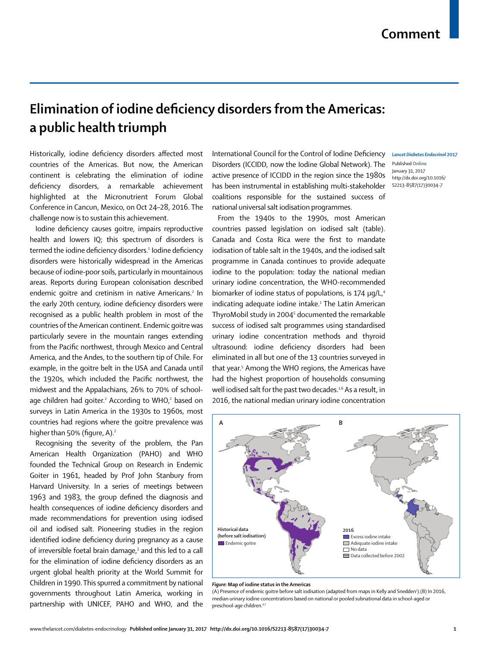## **Elimination of iodine deficiency disorders from the Americas: a public health triumph**

Historically, iodine deficiency disorders affected most countries of the Americas. But now, the American continent is celebrating the elimination of iodine deficiency disorders, a remarkable achievement highlighted at the Micronutrient Forum Global Conference in Cancun, Mexico, on Oct 24–28, 2016. The challenge now is to sustain this achievement.

Iodine deficiency causes goitre, impairs reproductive health and lowers IQ; this spectrum of disorders is termed the iodine deficiency disorders.<del>'</del> Iodine deficiency disorders were historically widespread in the Americas because of iodine-poor soils, particularly in mountainous areas. Reports during European colonisation described endemic goitre and cretinism in native Americans.<sup>2</sup> In the early 20th century, iodine deficiency disorders were recognised as a public health problem in most of the countries of the American continent. Endemic goitre was particularly severe in the mountain ranges extending from the Pacific northwest, through Mexico and Central America, and the Andes, to the southern tip of Chile. For example, in the goitre belt in the USA and Canada until the 1920s, which included the Pacific northwest, the midwest and the Appalachians, 26% to 70% of schoolage children had goiter.<sup>2</sup> According to WHO,<sup>2</sup> based on surveys in Latin America in the 1930s to 1960s, most countries had regions where the goitre prevalence was higher than 50% (figure, A). $2$ 

Recognising the severity of the problem, the Pan American Health Organization (PAHO) and WHO founded the Technical Group on Research in Endemic Goiter in 1961, headed by Prof John Stanbury from Harvard University. In a series of meetings between 1963 and 1983, the group defined the diagnosis and health consequences of iodine deficiency disorders and made recommendations for prevention using iodised oil and iodised salt. Pioneering studies in the region identified iodine deficiency during pregnancy as a cause of irreversible foetal brain damage,<sup>3</sup> and this led to a call for the elimination of iodine deficiency disorders as an urgent global health priority at the World Summit for Children in 1990. This spurred a commitment by national governments throughout Latin America, working in partnership with UNICEF, PAHO and WHO, and the

International Council for the Control of Iodine Deficiency Lancet Diabetes Endocrinol 2017 Disorders (ICCIDD, now the Iodine Global Network). The active presence of ICCIDD in the region since the 1980s has been instrumental in establishing multi-stakeholder coalitions responsible for the sustained success of national universal salt iodisation programmes.

From the 1940s to the 1990s, most American countries passed legislation on iodised salt (table). Canada and Costa Rica were the first to mandate iodisation of table salt in the 1940s, and the iodised salt programme in Canada continues to provide adequate iodine to the population: today the national median urinary iodine concentration, the WHO-recommended biomarker of iodine status of populations, is 174 μg/L.<sup>4</sup> indicating adequate iodine intake.<sup>1</sup> The Latin American ThyroMobil study in 20045 documented the remarkable success of iodised salt programmes using standardised urinary iodine concentration methods and thyroid ultrasound: iodine deficiency disorders had been eliminated in all but one of the 13 countries surveyed in that year.5 Among the WHO regions, the Americas have had the highest proportion of households consuming well iodised salt for the past two decades.<sup>1,6</sup> As a result, in 2016, the national median urinary iodine concentration

Published **Online** January 31, 2017 http://dx.doi.org/10.1016/ S2213-8587(17)30034-7



## *Figure:* **Map of iodine status in the Americas**

(A) Presence of endemic goitre before salt iodisation (adapted from maps in Kelly and Snedden<sup>2</sup>).(B) In 2016, median urinary iodine concentrations based on national or pooled subnational data in school-aged or preschool-age children.<sup>4,7</sup>